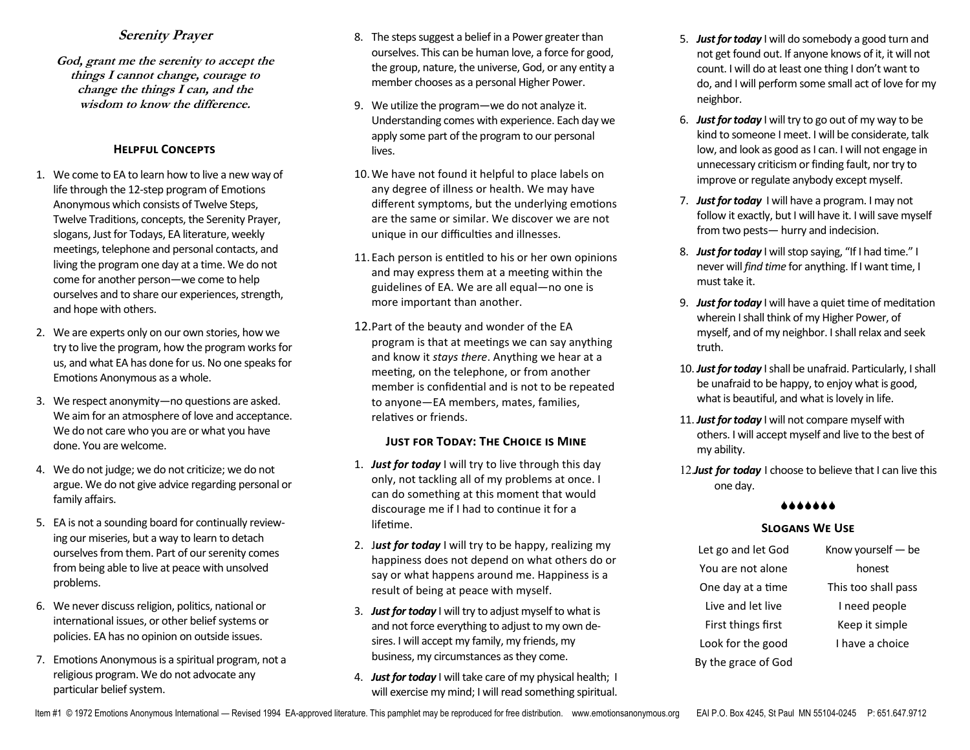# **Serenity Prayer**

**God, grant me the serenity to accept the things I cannot change, courage to change the things I can, and the wisdom to know the difference.**

#### **Helpful Concepts**

- 1. We come to EA to learn how to live a new way of life through the 12-step program of Emotions Anonymous which consists of Twelve Steps, Twelve Traditions, concepts, the Serenity Prayer, slogans, Just for Todays, EA literature, weekly meetings, telephone and personal contacts, and living the program one day at a time. We do not come for another person—we come to help ourselves and to share our experiences, strength, and hope with others.
- 2. We are experts only on our own stories, how we try to live the program, how the program works for us, and what EA has done for us. No one speaks for Emotions Anonymous as a whole.
- 3. We respect anonymity—no questions are asked. We aim for an atmosphere of love and acceptance. We do not care who you are or what you have done. You are welcome.
- 4. We do not judge; we do not criticize; we do not argue. We do not give advice regarding personal or family affairs.
- 5. EA is not a sounding board for continually reviewing our miseries, but a way to learn to detach ourselves from them. Part of our serenity comes from being able to live at peace with unsolved problems.
- 6. We never discuss religion, politics, national or international issues, or other belief systems or policies. EA has no opinion on outside issues.
- 7. Emotions Anonymous is a spiritual program, not a religious program. We do not advocate any particular belief system.
- 8. The steps suggest a belief in a Power greater than ourselves. This can be human love, a force for good, the group, nature, the universe, God, or any entity a member chooses as a personal Higher Power.
- 9. We utilize the program—we do not analyze it. Understanding comes with experience. Each day we apply some part of the program to our personal lives.
- 10.We have not found it helpful to place labels on any degree of illness or health. We may have different symptoms, but the underlying emotions are the same or similar. We discover we are not unique in our difficulties and illnesses.
- 11. Each person is entitled to his or her own opinions and may express them at a meeting within the guidelines of EA. We are all equal—no one is more important than another.
- 12.Part of the beauty and wonder of the EA program is that at meetings we can say anything and know it *stays there*. Anything we hear at a meeting, on the telephone, or from another member is confidential and is not to be repeated to anyone—EA members, mates, families, relatives or friends.

#### **Just for Today: The Choice is Mine**

- 1. *Just for today* I will try to live through this day only, not tackling all of my problems at once. I can do something at this moment that would discourage me if I had to continue it for a lifetime.
- 2. J*ust for today* I will try to be happy, realizing my happiness does not depend on what others do or say or what happens around me. Happiness is a result of being at peace with myself.
- 3. *Just for today* I will try to adjust myself to what is and not force everything to adjust to my own desires. I will accept my family, my friends, my business, my circumstances as they come.
- 4. *Just for today* I will take care of my physical health; I will exercise my mind; I will read something spiritual.
- 5. *Just for today* I will do somebody a good turn and not get found out. If anyone knows of it, it will not count. I will do at least one thing I don't want to do, and I will perform some small act of love for my neighbor.
- 6. *Just for today* I will try to go out of my way to be kind to someone I meet. I will be considerate, talk low, and look as good as I can. I will not engage in unnecessary criticism or finding fault, nor try to improve or regulate anybody except myself.
- 7. *Just for today* I will have a program. I may not follow it exactly, but I will have it. I will save myself from two pests— hurry and indecision.
- 8. *Just for today* I will stop saying, "If I had time." I never will *find time* for anything. If I want time, I must take it.
- 9. *Just for today* I will have a quiet time of meditation wherein I shall think of my Higher Power, of myself, and of my neighbor. I shall relax and seek truth.
- 10. *Just for today* I shall be unafraid. Particularly, I shall be unafraid to be happy, to enjoy what is good, what is beautiful, and what is lovely in life.
- 11. *Just for today* I will not compare myself with others. I will accept myself and live to the best of my ability.
- 12.*Just for today* I choose to believe that I can live this one day.

#### **AAAAAAA**

### **Slogans We Use**

| Let go and let God  | Know yourself - be  |
|---------------------|---------------------|
| You are not alone   | honest              |
| One day at a time   | This too shall pass |
| Live and let live   | I need people       |
| First things first  | Keep it simple      |
| Look for the good   | I have a choice     |
| By the grace of God |                     |